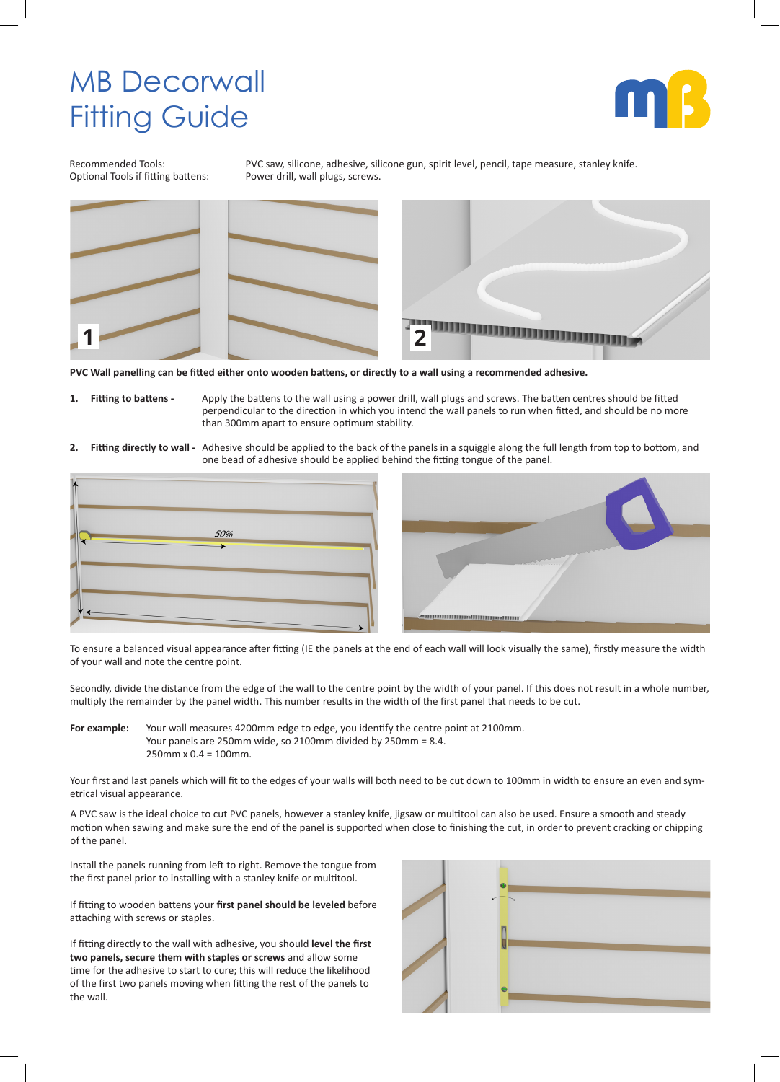## MB Decorwall Fitting Guide



Optional Tools if fitting battens:

Recommended Tools: PVC saw, silicone, adhesive, silicone gun, spirit level, pencil, tape measure, stanley knife.<br>Optional Tools if fitting battens: Power drill, wall plugs, screws.



**PVC Wall panelling can be fitted either onto wooden battens, or directly to a wall using a recommended adhesive.**

- **1. Fitting to battens** Apply the battens to the wall using a power drill, wall plugs and screws. The batten centres should be fitted perpendicular to the direction in which you intend the wall panels to run when fitted, and should be no more than 300mm apart to ensure optimum stability.
- **2. Fitting directly to wall -** Adhesive should be applied to the back of the panels in a squiggle along the full length from top to bottom, and one bead of adhesive should be applied behind the fitting tongue of the panel.





To ensure a balanced visual appearance after fitting (IE the panels at the end of each wall will look visually the same), firstly measure the width of your wall and note the centre point.

Secondly, divide the distance from the edge of the wall to the centre point by the width of your panel. If this does not result in a whole number, multiply the remainder by the panel width. This number results in the width of the first panel that needs to be cut.

**For example:** Your wall measures 4200mm edge to edge, you identify the centre point at 2100mm. Your panels are 250mm wide, so 2100mm divided by 250mm = 8.4. 250mm x 0.4 = 100mm.

Your first and last panels which will fit to the edges of your walls will both need to be cut down to 100mm in width to ensure an even and symetrical visual appearance.

A PVC saw is the ideal choice to cut PVC panels, however a stanley knife, jigsaw or multitool can also be used. Ensure a smooth and steady motion when sawing and make sure the end of the panel is supported when close to finishing the cut, in order to prevent cracking or chipping of the panel.

Install the panels running from left to right. Remove the tongue from the first panel prior to installing with a stanley knife or multitool.

If fitting to wooden battens your **first panel should be leveled** before attaching with screws or staples.

If fitting directly to the wall with adhesive, you should **level the first two panels, secure them with staples or screws** and allow some time for the adhesive to start to cure; this will reduce the likelihood of the first two panels moving when fitting the rest of the panels to the wall.